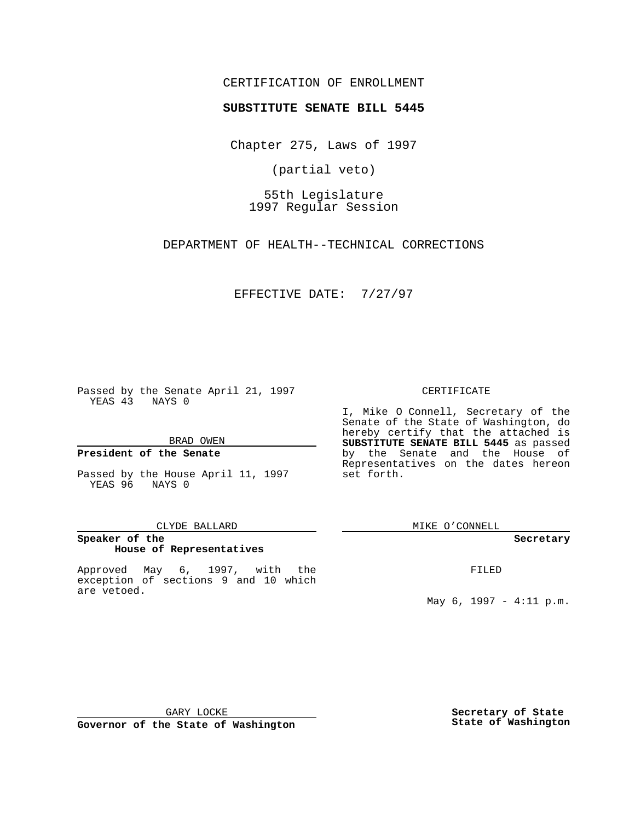## CERTIFICATION OF ENROLLMENT

# **SUBSTITUTE SENATE BILL 5445**

Chapter 275, Laws of 1997

(partial veto)

55th Legislature 1997 Regular Session

DEPARTMENT OF HEALTH--TECHNICAL CORRECTIONS

EFFECTIVE DATE: 7/27/97

Passed by the Senate April 21, 1997 YEAS 43 NAYS 0

BRAD OWEN

### **President of the Senate**

Passed by the House April 11, 1997 YEAS 96 NAYS 0

#### CLYDE BALLARD

# **Speaker of the House of Representatives**

Approved May 6, 1997, with the exception of sections 9 and 10 which are vetoed.

#### CERTIFICATE

I, Mike O Connell, Secretary of the Senate of the State of Washington, do hereby certify that the attached is **SUBSTITUTE SENATE BILL 5445** as passed by the Senate and the House of Representatives on the dates hereon set forth.

MIKE O'CONNELL

#### **Secretary**

FILED

May 6, 1997 - 4:11 p.m.

GARY LOCKE

**Governor of the State of Washington**

**Secretary of State State of Washington**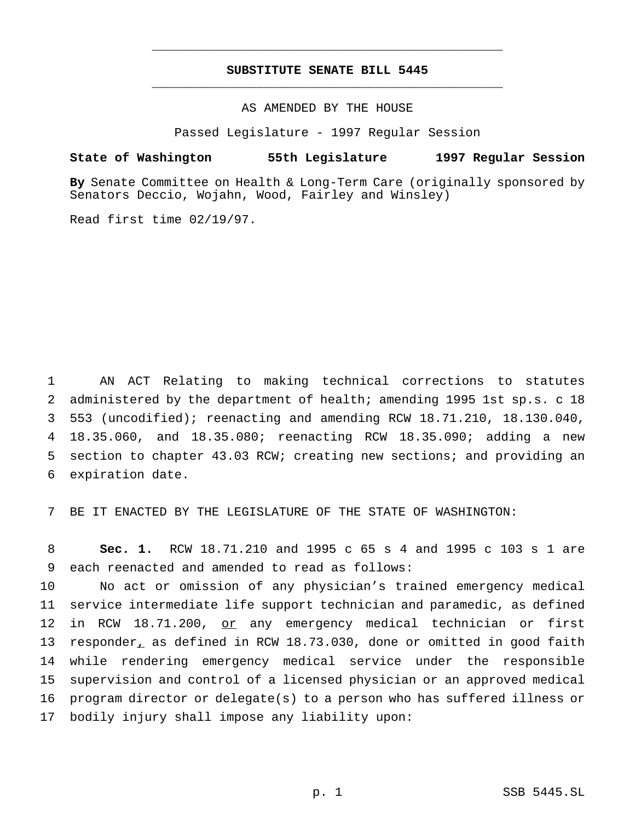# **SUBSTITUTE SENATE BILL 5445** \_\_\_\_\_\_\_\_\_\_\_\_\_\_\_\_\_\_\_\_\_\_\_\_\_\_\_\_\_\_\_\_\_\_\_\_\_\_\_\_\_\_\_\_\_\_\_

\_\_\_\_\_\_\_\_\_\_\_\_\_\_\_\_\_\_\_\_\_\_\_\_\_\_\_\_\_\_\_\_\_\_\_\_\_\_\_\_\_\_\_\_\_\_\_

AS AMENDED BY THE HOUSE

Passed Legislature - 1997 Regular Session

#### **State of Washington 55th Legislature 1997 Regular Session**

**By** Senate Committee on Health & Long-Term Care (originally sponsored by Senators Deccio, Wojahn, Wood, Fairley and Winsley)

Read first time 02/19/97.

 AN ACT Relating to making technical corrections to statutes administered by the department of health; amending 1995 1st sp.s. c 18 553 (uncodified); reenacting and amending RCW 18.71.210, 18.130.040, 18.35.060, and 18.35.080; reenacting RCW 18.35.090; adding a new section to chapter 43.03 RCW; creating new sections; and providing an expiration date.

7 BE IT ENACTED BY THE LEGISLATURE OF THE STATE OF WASHINGTON:

8 **Sec. 1.** RCW 18.71.210 and 1995 c 65 s 4 and 1995 c 103 s 1 are 9 each reenacted and amended to read as follows:

 No act or omission of any physician's trained emergency medical service intermediate life support technician and paramedic, as defined 12 in RCW 18.71.200, or any emergency medical technician or first responder, as defined in RCW 18.73.030, done or omitted in good faith while rendering emergency medical service under the responsible supervision and control of a licensed physician or an approved medical program director or delegate(s) to a person who has suffered illness or bodily injury shall impose any liability upon: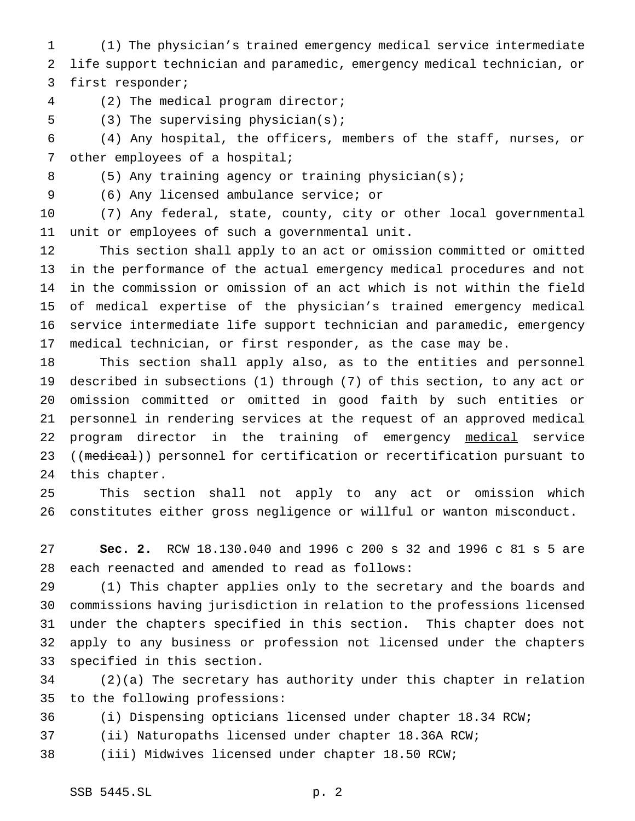(1) The physician's trained emergency medical service intermediate life support technician and paramedic, emergency medical technician, or first responder;

(2) The medical program director;

(3) The supervising physician(s);

 (4) Any hospital, the officers, members of the staff, nurses, or other employees of a hospital;

8 (5) Any training agency or training physician(s);

(6) Any licensed ambulance service; or

 (7) Any federal, state, county, city or other local governmental unit or employees of such a governmental unit.

 This section shall apply to an act or omission committed or omitted in the performance of the actual emergency medical procedures and not in the commission or omission of an act which is not within the field of medical expertise of the physician's trained emergency medical service intermediate life support technician and paramedic, emergency medical technician, or first responder, as the case may be.

 This section shall apply also, as to the entities and personnel described in subsections (1) through (7) of this section, to any act or omission committed or omitted in good faith by such entities or personnel in rendering services at the request of an approved medical 22 program director in the training of emergency medical service 23 ((medical)) personnel for certification or recertification pursuant to this chapter.

 This section shall not apply to any act or omission which constitutes either gross negligence or willful or wanton misconduct.

 **Sec. 2.** RCW 18.130.040 and 1996 c 200 s 32 and 1996 c 81 s 5 are each reenacted and amended to read as follows:

 (1) This chapter applies only to the secretary and the boards and commissions having jurisdiction in relation to the professions licensed under the chapters specified in this section. This chapter does not apply to any business or profession not licensed under the chapters specified in this section.

 (2)(a) The secretary has authority under this chapter in relation to the following professions:

(i) Dispensing opticians licensed under chapter 18.34 RCW;

(ii) Naturopaths licensed under chapter 18.36A RCW;

(iii) Midwives licensed under chapter 18.50 RCW;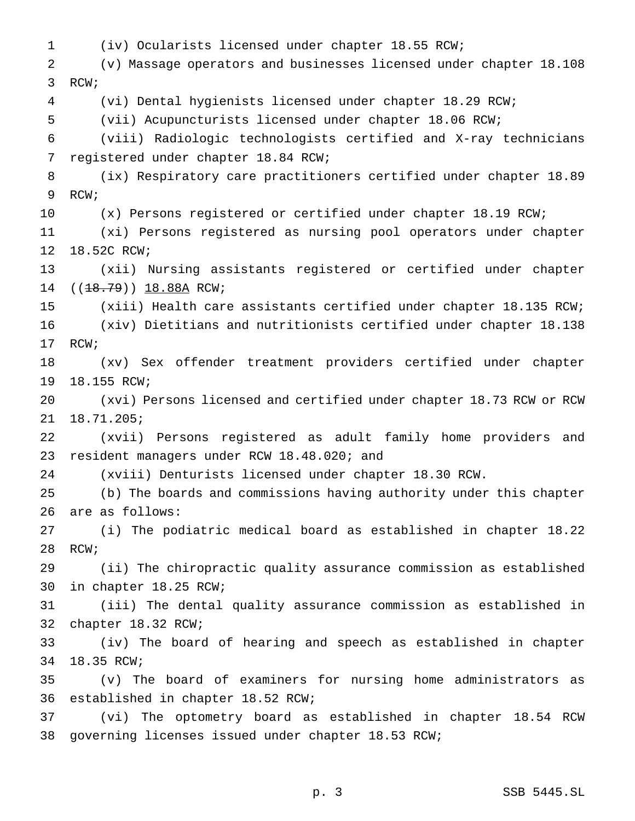(iv) Ocularists licensed under chapter 18.55 RCW; (v) Massage operators and businesses licensed under chapter 18.108 RCW; (vi) Dental hygienists licensed under chapter 18.29 RCW; (vii) Acupuncturists licensed under chapter 18.06 RCW; (viii) Radiologic technologists certified and X-ray technicians registered under chapter 18.84 RCW; (ix) Respiratory care practitioners certified under chapter 18.89 RCW; (x) Persons registered or certified under chapter 18.19 RCW; (xi) Persons registered as nursing pool operators under chapter 18.52C RCW; (xii) Nursing assistants registered or certified under chapter 14 ((18.79)) 18.88A RCW; (xiii) Health care assistants certified under chapter 18.135 RCW; (xiv) Dietitians and nutritionists certified under chapter 18.138 RCW; (xv) Sex offender treatment providers certified under chapter 18.155 RCW; (xvi) Persons licensed and certified under chapter 18.73 RCW or RCW 18.71.205; (xvii) Persons registered as adult family home providers and resident managers under RCW 18.48.020; and (xviii) Denturists licensed under chapter 18.30 RCW. (b) The boards and commissions having authority under this chapter are as follows: (i) The podiatric medical board as established in chapter 18.22 RCW; (ii) The chiropractic quality assurance commission as established in chapter 18.25 RCW; (iii) The dental quality assurance commission as established in chapter 18.32 RCW; (iv) The board of hearing and speech as established in chapter 18.35 RCW; (v) The board of examiners for nursing home administrators as established in chapter 18.52 RCW; (vi) The optometry board as established in chapter 18.54 RCW governing licenses issued under chapter 18.53 RCW;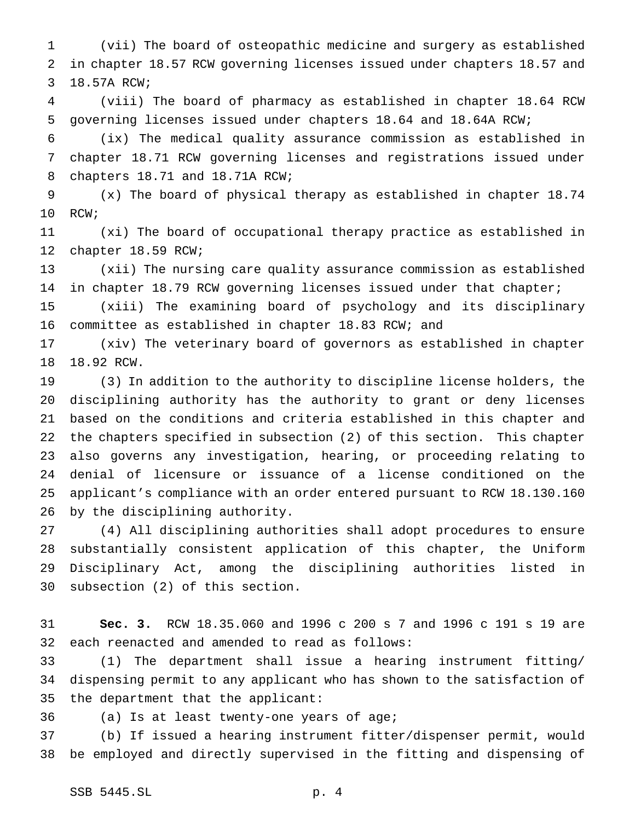(vii) The board of osteopathic medicine and surgery as established in chapter 18.57 RCW governing licenses issued under chapters 18.57 and 18.57A RCW;

 (viii) The board of pharmacy as established in chapter 18.64 RCW governing licenses issued under chapters 18.64 and 18.64A RCW;

 (ix) The medical quality assurance commission as established in chapter 18.71 RCW governing licenses and registrations issued under chapters 18.71 and 18.71A RCW;

 (x) The board of physical therapy as established in chapter 18.74 RCW;

 (xi) The board of occupational therapy practice as established in chapter 18.59 RCW;

 (xii) The nursing care quality assurance commission as established in chapter 18.79 RCW governing licenses issued under that chapter;

 (xiii) The examining board of psychology and its disciplinary committee as established in chapter 18.83 RCW; and

 (xiv) The veterinary board of governors as established in chapter 18.92 RCW.

 (3) In addition to the authority to discipline license holders, the disciplining authority has the authority to grant or deny licenses based on the conditions and criteria established in this chapter and the chapters specified in subsection (2) of this section. This chapter also governs any investigation, hearing, or proceeding relating to denial of licensure or issuance of a license conditioned on the applicant's compliance with an order entered pursuant to RCW 18.130.160 by the disciplining authority.

 (4) All disciplining authorities shall adopt procedures to ensure substantially consistent application of this chapter, the Uniform Disciplinary Act, among the disciplining authorities listed in subsection (2) of this section.

 **Sec. 3.** RCW 18.35.060 and 1996 c 200 s 7 and 1996 c 191 s 19 are each reenacted and amended to read as follows:

 (1) The department shall issue a hearing instrument fitting/ dispensing permit to any applicant who has shown to the satisfaction of the department that the applicant:

(a) Is at least twenty-one years of age;

 (b) If issued a hearing instrument fitter/dispenser permit, would be employed and directly supervised in the fitting and dispensing of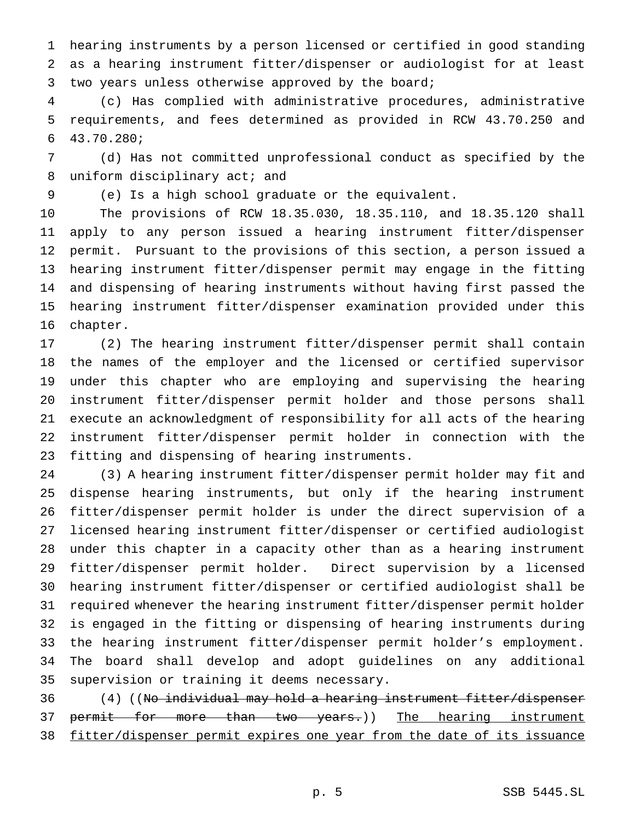hearing instruments by a person licensed or certified in good standing as a hearing instrument fitter/dispenser or audiologist for at least two years unless otherwise approved by the board;

 (c) Has complied with administrative procedures, administrative requirements, and fees determined as provided in RCW 43.70.250 and 43.70.280;

 (d) Has not committed unprofessional conduct as specified by the 8 uniform disciplinary act; and

(e) Is a high school graduate or the equivalent.

 The provisions of RCW 18.35.030, 18.35.110, and 18.35.120 shall apply to any person issued a hearing instrument fitter/dispenser permit. Pursuant to the provisions of this section, a person issued a hearing instrument fitter/dispenser permit may engage in the fitting and dispensing of hearing instruments without having first passed the hearing instrument fitter/dispenser examination provided under this chapter.

 (2) The hearing instrument fitter/dispenser permit shall contain the names of the employer and the licensed or certified supervisor under this chapter who are employing and supervising the hearing instrument fitter/dispenser permit holder and those persons shall execute an acknowledgment of responsibility for all acts of the hearing instrument fitter/dispenser permit holder in connection with the fitting and dispensing of hearing instruments.

 (3) A hearing instrument fitter/dispenser permit holder may fit and dispense hearing instruments, but only if the hearing instrument fitter/dispenser permit holder is under the direct supervision of a licensed hearing instrument fitter/dispenser or certified audiologist under this chapter in a capacity other than as a hearing instrument fitter/dispenser permit holder. Direct supervision by a licensed hearing instrument fitter/dispenser or certified audiologist shall be required whenever the hearing instrument fitter/dispenser permit holder is engaged in the fitting or dispensing of hearing instruments during the hearing instrument fitter/dispenser permit holder's employment. The board shall develop and adopt guidelines on any additional supervision or training it deems necessary.

 (4) ((No individual may hold a hearing instrument fitter/dispenser 37 permit for more than two years.)) The hearing instrument fitter/dispenser permit expires one year from the date of its issuance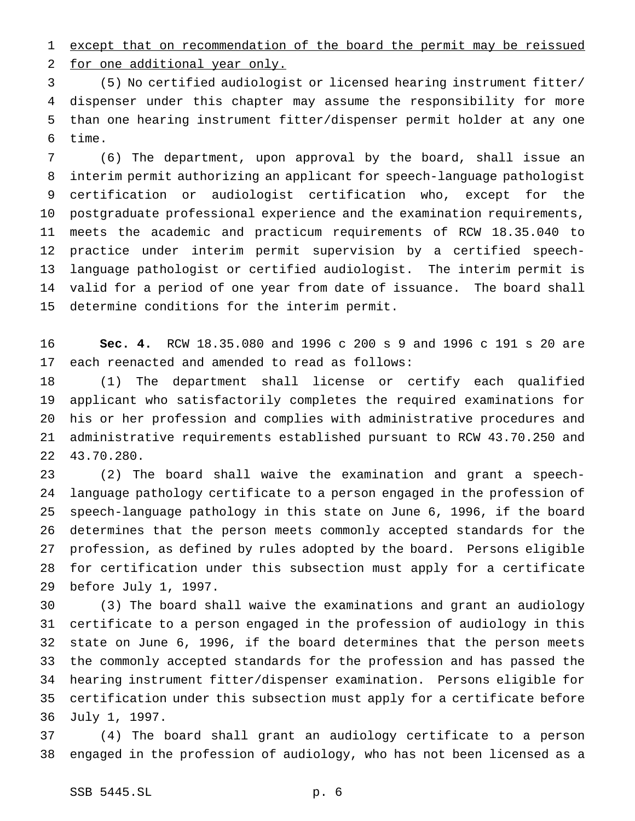except that on recommendation of the board the permit may be reissued for one additional year only.

 (5) No certified audiologist or licensed hearing instrument fitter/ dispenser under this chapter may assume the responsibility for more than one hearing instrument fitter/dispenser permit holder at any one time.

 (6) The department, upon approval by the board, shall issue an interim permit authorizing an applicant for speech-language pathologist certification or audiologist certification who, except for the postgraduate professional experience and the examination requirements, meets the academic and practicum requirements of RCW 18.35.040 to practice under interim permit supervision by a certified speech- language pathologist or certified audiologist. The interim permit is valid for a period of one year from date of issuance. The board shall determine conditions for the interim permit.

 **Sec. 4.** RCW 18.35.080 and 1996 c 200 s 9 and 1996 c 191 s 20 are each reenacted and amended to read as follows:

 (1) The department shall license or certify each qualified applicant who satisfactorily completes the required examinations for his or her profession and complies with administrative procedures and administrative requirements established pursuant to RCW 43.70.250 and 43.70.280.

 (2) The board shall waive the examination and grant a speech- language pathology certificate to a person engaged in the profession of speech-language pathology in this state on June 6, 1996, if the board determines that the person meets commonly accepted standards for the profession, as defined by rules adopted by the board. Persons eligible for certification under this subsection must apply for a certificate before July 1, 1997.

 (3) The board shall waive the examinations and grant an audiology certificate to a person engaged in the profession of audiology in this state on June 6, 1996, if the board determines that the person meets the commonly accepted standards for the profession and has passed the hearing instrument fitter/dispenser examination. Persons eligible for certification under this subsection must apply for a certificate before July 1, 1997.

 (4) The board shall grant an audiology certificate to a person engaged in the profession of audiology, who has not been licensed as a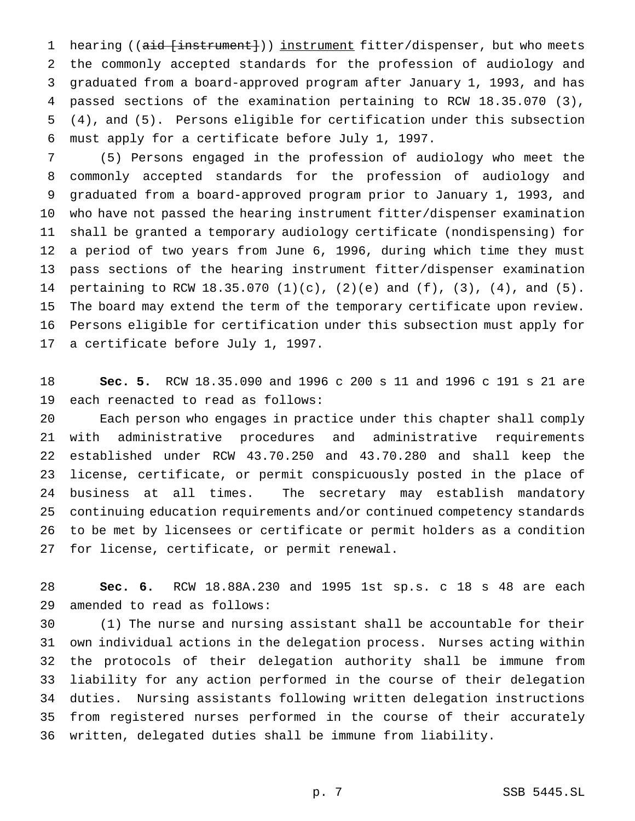1 hearing ((aid [instrument])) instrument fitter/dispenser, but who meets the commonly accepted standards for the profession of audiology and graduated from a board-approved program after January 1, 1993, and has passed sections of the examination pertaining to RCW 18.35.070 (3), (4), and (5). Persons eligible for certification under this subsection must apply for a certificate before July 1, 1997.

 (5) Persons engaged in the profession of audiology who meet the commonly accepted standards for the profession of audiology and graduated from a board-approved program prior to January 1, 1993, and who have not passed the hearing instrument fitter/dispenser examination shall be granted a temporary audiology certificate (nondispensing) for a period of two years from June 6, 1996, during which time they must pass sections of the hearing instrument fitter/dispenser examination pertaining to RCW 18.35.070 (1)(c), (2)(e) and (f), (3), (4), and (5). The board may extend the term of the temporary certificate upon review. Persons eligible for certification under this subsection must apply for a certificate before July 1, 1997.

 **Sec. 5.** RCW 18.35.090 and 1996 c 200 s 11 and 1996 c 191 s 21 are each reenacted to read as follows:

 Each person who engages in practice under this chapter shall comply with administrative procedures and administrative requirements established under RCW 43.70.250 and 43.70.280 and shall keep the license, certificate, or permit conspicuously posted in the place of business at all times. The secretary may establish mandatory continuing education requirements and/or continued competency standards to be met by licensees or certificate or permit holders as a condition for license, certificate, or permit renewal.

 **Sec. 6.** RCW 18.88A.230 and 1995 1st sp.s. c 18 s 48 are each amended to read as follows:

 (1) The nurse and nursing assistant shall be accountable for their own individual actions in the delegation process. Nurses acting within the protocols of their delegation authority shall be immune from liability for any action performed in the course of their delegation duties. Nursing assistants following written delegation instructions from registered nurses performed in the course of their accurately written, delegated duties shall be immune from liability.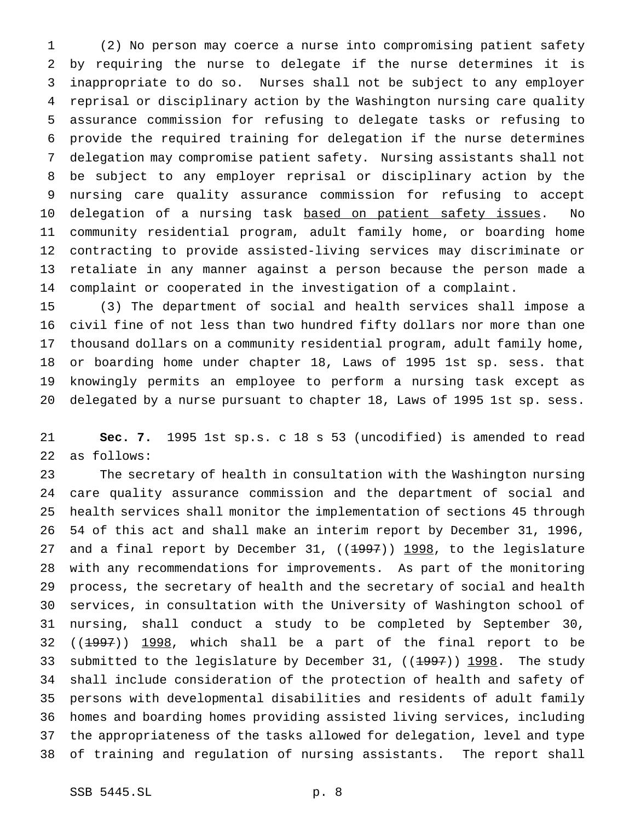(2) No person may coerce a nurse into compromising patient safety by requiring the nurse to delegate if the nurse determines it is inappropriate to do so. Nurses shall not be subject to any employer reprisal or disciplinary action by the Washington nursing care quality assurance commission for refusing to delegate tasks or refusing to provide the required training for delegation if the nurse determines delegation may compromise patient safety. Nursing assistants shall not be subject to any employer reprisal or disciplinary action by the nursing care quality assurance commission for refusing to accept 10 delegation of a nursing task based on patient safety issues. No community residential program, adult family home, or boarding home contracting to provide assisted-living services may discriminate or retaliate in any manner against a person because the person made a complaint or cooperated in the investigation of a complaint.

 (3) The department of social and health services shall impose a civil fine of not less than two hundred fifty dollars nor more than one thousand dollars on a community residential program, adult family home, or boarding home under chapter 18, Laws of 1995 1st sp. sess. that knowingly permits an employee to perform a nursing task except as delegated by a nurse pursuant to chapter 18, Laws of 1995 1st sp. sess.

 **Sec. 7.** 1995 1st sp.s. c 18 s 53 (uncodified) is amended to read as follows:

 The secretary of health in consultation with the Washington nursing care quality assurance commission and the department of social and health services shall monitor the implementation of sections 45 through 54 of this act and shall make an interim report by December 31, 1996, 27 and a final report by December 31, ((1997)) 1998, to the legislature with any recommendations for improvements. As part of the monitoring process, the secretary of health and the secretary of social and health services, in consultation with the University of Washington school of nursing, shall conduct a study to be completed by September 30, (( $1997$ ))  $1998$ , which shall be a part of the final report to be 33 submitted to the legislature by December 31, ((1997)) 1998. The study shall include consideration of the protection of health and safety of persons with developmental disabilities and residents of adult family homes and boarding homes providing assisted living services, including the appropriateness of the tasks allowed for delegation, level and type of training and regulation of nursing assistants. The report shall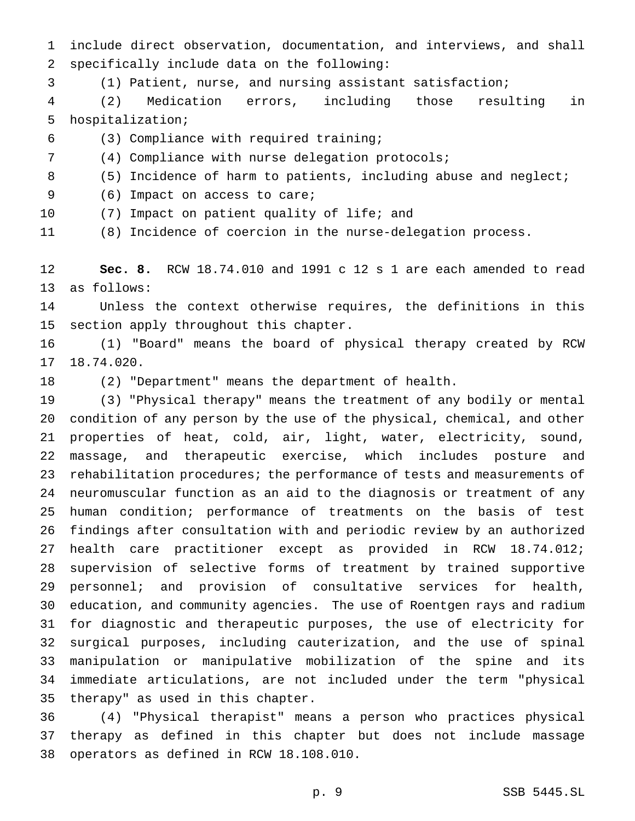include direct observation, documentation, and interviews, and shall specifically include data on the following:

(1) Patient, nurse, and nursing assistant satisfaction;

 (2) Medication errors, including those resulting in hospitalization;

(3) Compliance with required training;

(4) Compliance with nurse delegation protocols;

(5) Incidence of harm to patients, including abuse and neglect;

9 (6) Impact on access to care;

(7) Impact on patient quality of life; and

(8) Incidence of coercion in the nurse-delegation process.

 **Sec. 8.** RCW 18.74.010 and 1991 c 12 s 1 are each amended to read as follows:

 Unless the context otherwise requires, the definitions in this section apply throughout this chapter.

 (1) "Board" means the board of physical therapy created by RCW 18.74.020.

(2) "Department" means the department of health.

 (3) "Physical therapy" means the treatment of any bodily or mental condition of any person by the use of the physical, chemical, and other properties of heat, cold, air, light, water, electricity, sound, massage, and therapeutic exercise, which includes posture and rehabilitation procedures; the performance of tests and measurements of neuromuscular function as an aid to the diagnosis or treatment of any human condition; performance of treatments on the basis of test findings after consultation with and periodic review by an authorized health care practitioner except as provided in RCW 18.74.012; supervision of selective forms of treatment by trained supportive personnel; and provision of consultative services for health, education, and community agencies. The use of Roentgen rays and radium for diagnostic and therapeutic purposes, the use of electricity for surgical purposes, including cauterization, and the use of spinal manipulation or manipulative mobilization of the spine and its immediate articulations, are not included under the term "physical therapy" as used in this chapter.

 (4) "Physical therapist" means a person who practices physical therapy as defined in this chapter but does not include massage operators as defined in RCW 18.108.010.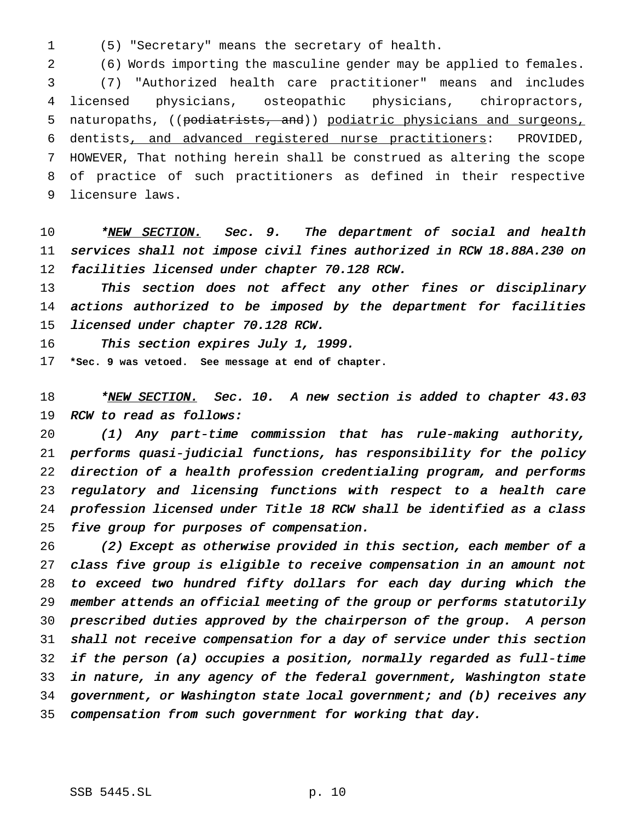(5) "Secretary" means the secretary of health.

 (6) Words importing the masculine gender may be applied to females. (7) "Authorized health care practitioner" means and includes licensed physicians, osteopathic physicians, chiropractors, 5 naturopaths, ((podiatrists, and)) podiatric physicians and surgeons, dentists, and advanced registered nurse practitioners: PROVIDED, HOWEVER, That nothing herein shall be construed as altering the scope of practice of such practitioners as defined in their respective licensure laws.

10 \*NEW SECTION. Sec. 9. The department of social and health services shall not impose civil fines authorized in RCW 18.88A.230 on facilities licensed under chapter 70.128 RCW.

13 This section does not affect any other fines or disciplinary actions authorized to be imposed by the department for facilities licensed under chapter 70.128 RCW.

16 This section expires July 1, 1999.

**\*Sec. 9 was vetoed. See message at end of chapter.**

18 \*NEW SECTION. Sec. 10. A new section is added to chapter 43.03 19 RCW to read as follows:

 (1) Any part-time commission that has rule-making authority, performs quasi-judicial functions, has responsibility for the policy direction of <sup>a</sup> health profession credentialing program, and performs regulatory and licensing functions with respect to <sup>a</sup> health care profession licensed under Title <sup>18</sup> RCW shall be identified as <sup>a</sup> class five group for purposes of compensation.

 (2) Except as otherwise provided in this section, each member of <sup>a</sup> class five group is eligible to receive compensation in an amount not to exceed two hundred fifty dollars for each day during which the member attends an official meeting of the group or performs statutorily prescribed duties approved by the chairperson of the group. <sup>A</sup> person shall not receive compensation for <sup>a</sup> day of service under this section if the person (a) occupies <sup>a</sup> position, normally regarded as full-time in nature, in any agency of the federal government, Washington state government, or Washington state local government; and (b) receives any compensation from such government for working that day.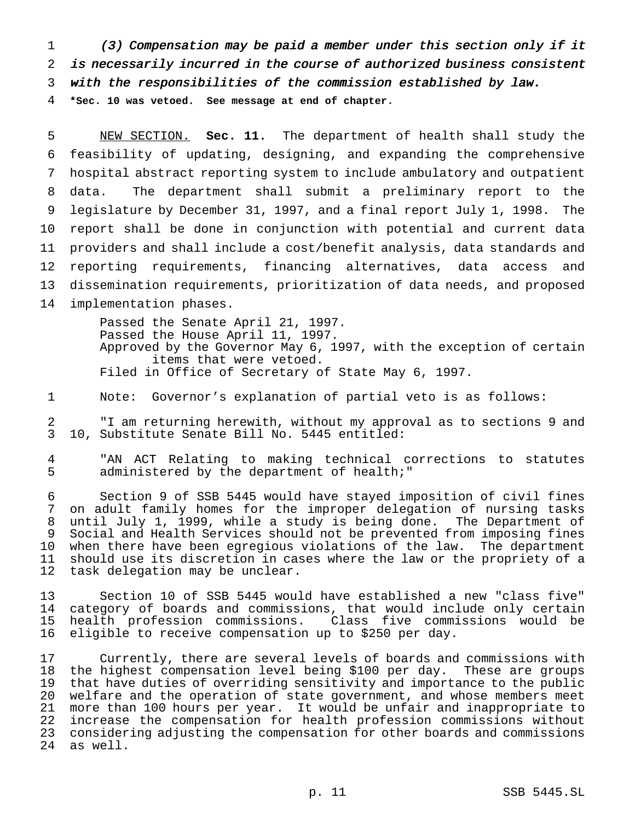(3) Compensation may be paid <sup>a</sup> member under this section only if it is necessarily incurred in the course of authorized business consistent with the responsibilities of the commission established by law.

**\*Sec. 10 was vetoed. See message at end of chapter.**

 NEW SECTION. **Sec. 11.** The department of health shall study the feasibility of updating, designing, and expanding the comprehensive hospital abstract reporting system to include ambulatory and outpatient data. The department shall submit a preliminary report to the legislature by December 31, 1997, and a final report July 1, 1998. The report shall be done in conjunction with potential and current data providers and shall include a cost/benefit analysis, data standards and reporting requirements, financing alternatives, data access and dissemination requirements, prioritization of data needs, and proposed implementation phases.

> Passed the Senate April 21, 1997. Passed the House April 11, 1997. Approved by the Governor May 6, 1997, with the exception of certain items that were vetoed. Filed in Office of Secretary of State May 6, 1997.

Note: Governor's explanation of partial veto is as follows:

 "I am returning herewith, without my approval as to sections 9 and 10, Substitute Senate Bill No. 5445 entitled:

 "AN ACT Relating to making technical corrections to statutes administered by the department of health;"

 Section 9 of SSB 5445 would have stayed imposition of civil fines on adult family homes for the improper delegation of nursing tasks until July 1, 1999, while a study is being done. The Department of Social and Health Services should not be prevented from imposing fines when there have been egregious violations of the law. The department 11 should use its discretion in cases where the law or the propriety of a<br>12 task delegation may be unclear. task delegation may be unclear.

 Section 10 of SSB 5445 would have established a new "class five" category of boards and commissions, that would include only certain health profession commissions. Class five commissions would be eligible to receive compensation up to \$250 per day.

 Currently, there are several levels of boards and commissions with the highest compensation level being \$100 per day. These are groups that have duties of overriding sensitivity and importance to the public welfare and the operation of state government, and whose members meet more than 100 hours per year. It would be unfair and inappropriate to increase the compensation for health profession commissions without considering adjusting the compensation for other boards and commissions as well.